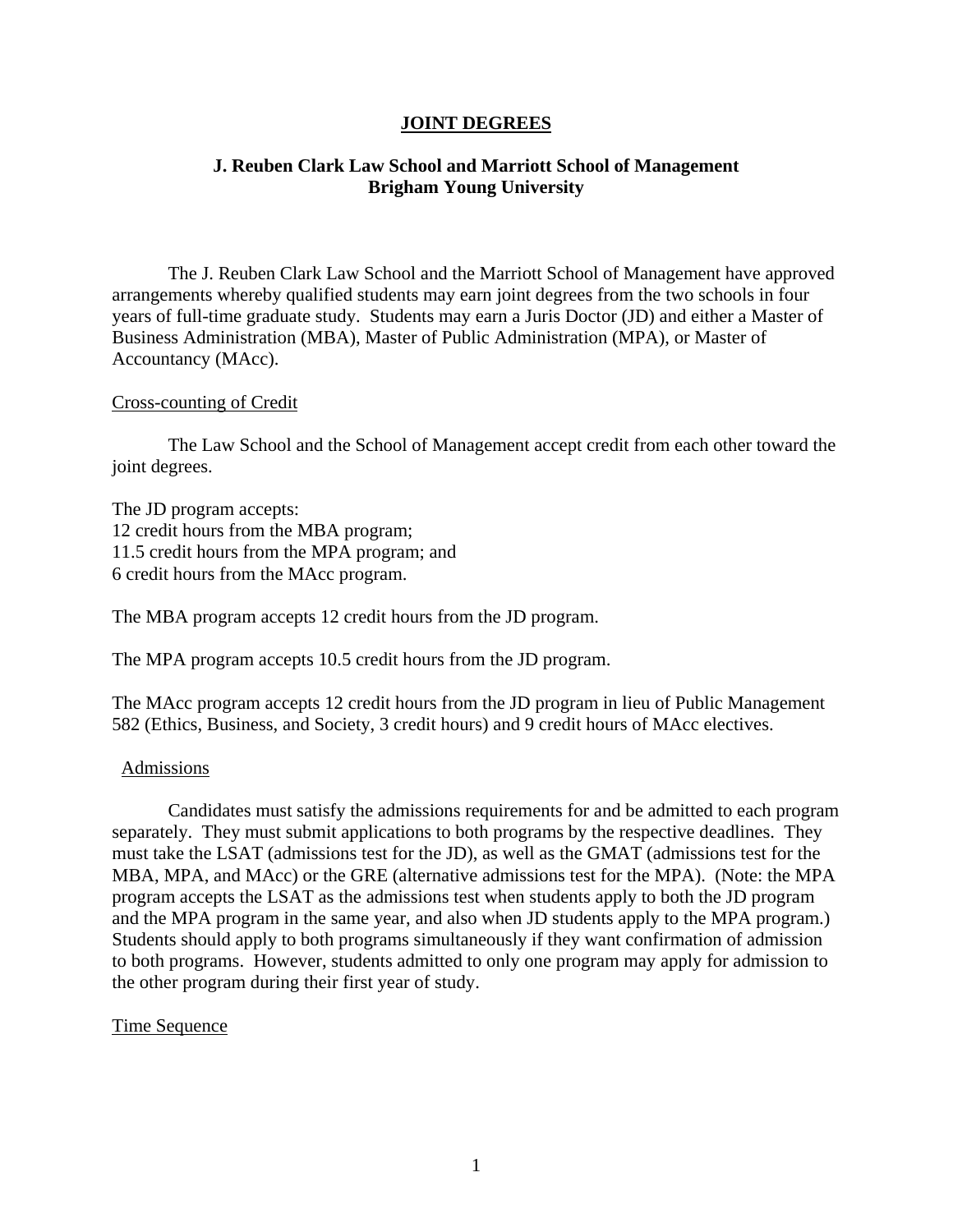# **JOINT DEGREES**

# **J. Reuben Clark Law School and Marriott School of Management Brigham Young University**

The J. Reuben Clark Law School and the Marriott School of Management have approved arrangements whereby qualified students may earn joint degrees from the two schools in four years of full-time graduate study. Students may earn a Juris Doctor (JD) and either a Master of Business Administration (MBA), Master of Public Administration (MPA), or Master of Accountancy (MAcc).

### Cross-counting of Credit

The Law School and the School of Management accept credit from each other toward the joint degrees.

The JD program accepts: 12 credit hours from the MBA program; 11.5 credit hours from the MPA program; and 6 credit hours from the MAcc program.

The MBA program accepts 12 credit hours from the JD program.

The MPA program accepts 10.5 credit hours from the JD program.

The MAcc program accepts 12 credit hours from the JD program in lieu of Public Management 582 (Ethics, Business, and Society, 3 credit hours) and 9 credit hours of MAcc electives.

#### Admissions

Candidates must satisfy the admissions requirements for and be admitted to each program separately. They must submit applications to both programs by the respective deadlines. They must take the LSAT (admissions test for the JD), as well as the GMAT (admissions test for the MBA, MPA, and MAcc) or the GRE (alternative admissions test for the MPA). (Note: the MPA program accepts the LSAT as the admissions test when students apply to both the JD program and the MPA program in the same year, and also when JD students apply to the MPA program.) Students should apply to both programs simultaneously if they want confirmation of admission to both programs. However, students admitted to only one program may apply for admission to the other program during their first year of study.

### Time Sequence